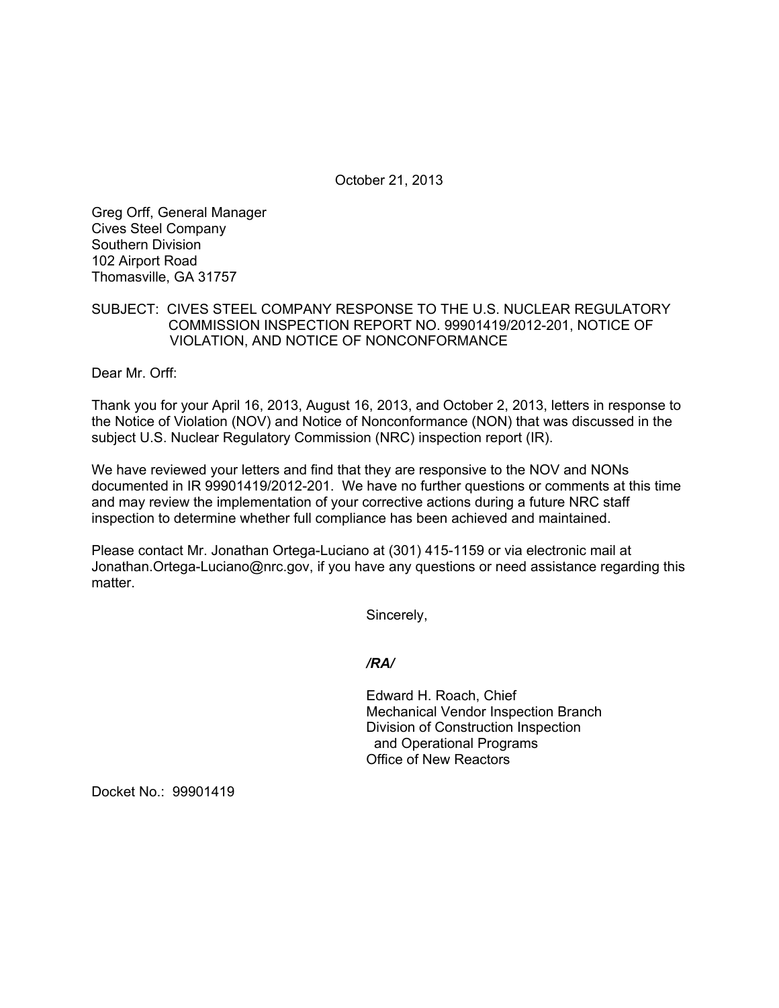October 21, 2013

Greg Orff, General Manager Cives Steel Company Southern Division 102 Airport Road Thomasville, GA 31757

### SUBJECT: CIVES STEEL COMPANY RESPONSE TO THE U.S. NUCLEAR REGULATORY COMMISSION INSPECTION REPORT NO. 99901419/2012-201, NOTICE OF VIOLATION, AND NOTICE OF NONCONFORMANCE

Dear Mr. Orff:

Thank you for your April 16, 2013, August 16, 2013, and October 2, 2013, letters in response to the Notice of Violation (NOV) and Notice of Nonconformance (NON) that was discussed in the subject U.S. Nuclear Regulatory Commission (NRC) inspection report (IR).

We have reviewed your letters and find that they are responsive to the NOV and NONs documented in IR 99901419/2012-201. We have no further questions or comments at this time and may review the implementation of your corrective actions during a future NRC staff inspection to determine whether full compliance has been achieved and maintained.

Please contact Mr. Jonathan Ortega-Luciano at (301) 415-1159 or via electronic mail at Jonathan.Ortega-Luciano@nrc.gov, if you have any questions or need assistance regarding this matter.

Sincerely,

#### */RA/*

Edward H. Roach, Chief Mechanical Vendor Inspection Branch Division of Construction Inspection and Operational Programs Office of New Reactors

Docket No.: 99901419